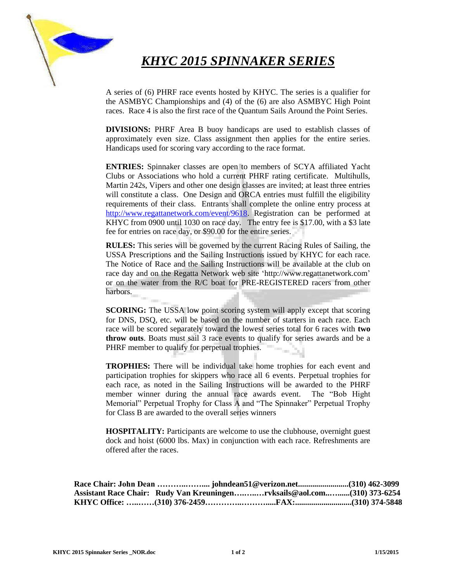

# *KHYC 2015 SPINNAKER SERIES*

A series of (6) PHRF race events hosted by KHYC. The series is a qualifier for the ASMBYC Championships and (4) of the (6) are also ASMBYC High Point races. Race 4 is also the first race of the Quantum Sails Around the Point Series.

**DIVISIONS:** PHRF Area B buoy handicaps are used to establish classes of approximately even size. Class assignment then applies for the entire series. Handicaps used for scoring vary according to the race format.

**ENTRIES:** Spinnaker classes are open to members of SCYA affiliated Yacht Clubs or Associations who hold a current PHRF rating certificate. Multihulls, Martin 242s, Vipers and other one design classes are invited; at least three entries will constitute a class. One Design and ORCA entries must fulfill the eligibility requirements of their class. Entrants shall complete the online entry process at [http://www.regattanetwork.com/event/9618.](http://www.regattanetwork.com/event/9618) Registration can be performed at KHYC from 0900 until 1030 on race day. The entry fee is \$17.00, with a \$3 late fee for entries on race day, or \$90.00 for the entire series.

**RULES:** This series will be governed by the current Racing Rules of Sailing, the USSA Prescriptions and the Sailing Instructions issued by KHYC for each race. The Notice of Race and the Sailing Instructions will be available at the club on race day and on the Regatta Network web site 'http://www.regattanetwork.com' or on the water from the R/C boat for PRE-REGISTERED racers from other harbors.

**SCORING:** The USSA low point scoring system will apply except that scoring for DNS, DSQ, etc. will be based on the number of starters in each race. Each race will be scored separately toward the lowest series total for 6 races with **two throw outs**. Boats must sail 3 race events to qualify for series awards and be a PHRF member to qualify for perpetual trophies.

**TROPHIES:** There will be individual take home trophies for each event and participation trophies for skippers who race all 6 events. Perpetual trophies for each race, as noted in the Sailing Instructions will be awarded to the PHRF member winner during the annual race awards event. The "Bob Hight Memorial" Perpetual Trophy for Class A and "The Spinnaker" Perpetual Trophy for Class B are awarded to the overall series winners

**HOSPITALITY:** Participants are welcome to use the clubhouse, overnight guest dock and hoist (6000 lbs. Max) in conjunction with each race. Refreshments are offered after the races.

|  | Assistant Race Chair: Rudy Van Kreuningenrvksails@aol.com(310) 373-6254 |  |
|--|-------------------------------------------------------------------------|--|
|  |                                                                         |  |